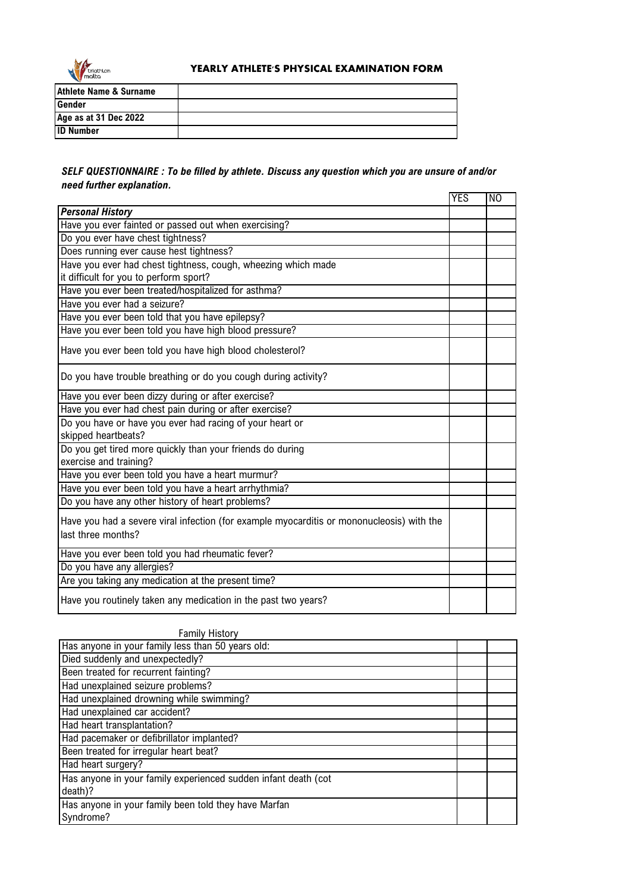

## **YEARLY ATHLETE'S PHYSICAL EXAMINATION FORM**

| <b>Athlete Name &amp; Surname</b> |  |
|-----------------------------------|--|
| Gender                            |  |
| Age as at 31 Dec 2022             |  |
| <b>ID Number</b>                  |  |

## *SELF QUESTIONNAIRE : To be filled by athlete. Discuss any question which you are unsure of and/or need further explanation.*

|                                                                                           | <b>YES</b> | N <sub>O</sub> |
|-------------------------------------------------------------------------------------------|------------|----------------|
| <b>Personal History</b>                                                                   |            |                |
| Have you ever fainted or passed out when exercising?                                      |            |                |
| Do you ever have chest tightness?                                                         |            |                |
| Does running ever cause hest tightness?                                                   |            |                |
| Have you ever had chest tightness, cough, wheezing which made                             |            |                |
| it difficult for you to perform sport?                                                    |            |                |
| Have you ever been treated/hospitalized for asthma?                                       |            |                |
| Have you ever had a seizure?                                                              |            |                |
| Have you ever been told that you have epilepsy?                                           |            |                |
| Have you ever been told you have high blood pressure?                                     |            |                |
| Have you ever been told you have high blood cholesterol?                                  |            |                |
| Do you have trouble breathing or do you cough during activity?                            |            |                |
| Have you ever been dizzy during or after exercise?                                        |            |                |
| Have you ever had chest pain during or after exercise?                                    |            |                |
| Do you have or have you ever had racing of your heart or                                  |            |                |
| skipped heartbeats?                                                                       |            |                |
| Do you get tired more quickly than your friends do during                                 |            |                |
| exercise and training?                                                                    |            |                |
| Have you ever been told you have a heart murmur?                                          |            |                |
| Have you ever been told you have a heart arrhythmia?                                      |            |                |
| Do you have any other history of heart problems?                                          |            |                |
| Have you had a severe viral infection (for example myocarditis or mononucleosis) with the |            |                |
| last three months?                                                                        |            |                |
|                                                                                           |            |                |
| Have you ever been told you had rheumatic fever?                                          |            |                |
| Do you have any allergies?                                                                |            |                |
| Are you taking any medication at the present time?                                        |            |                |
| Have you routinely taken any medication in the past two years?                            |            |                |

| <b>Family History</b>                                          |  |  |
|----------------------------------------------------------------|--|--|
| Has anyone in your family less than 50 years old:              |  |  |
| Died suddenly and unexpectedly?                                |  |  |
| Been treated for recurrent fainting?                           |  |  |
| Had unexplained seizure problems?                              |  |  |
| Had unexplained drowning while swimming?                       |  |  |
| Had unexplained car accident?                                  |  |  |
| Had heart transplantation?                                     |  |  |
| Had pacemaker or defibrillator implanted?                      |  |  |
| Been treated for irregular heart beat?                         |  |  |
| Had heart surgery?                                             |  |  |
| Has anyone in your family experienced sudden infant death (cot |  |  |
| death)?                                                        |  |  |
| Has anyone in your family been told they have Marfan           |  |  |
| Syndrome?                                                      |  |  |